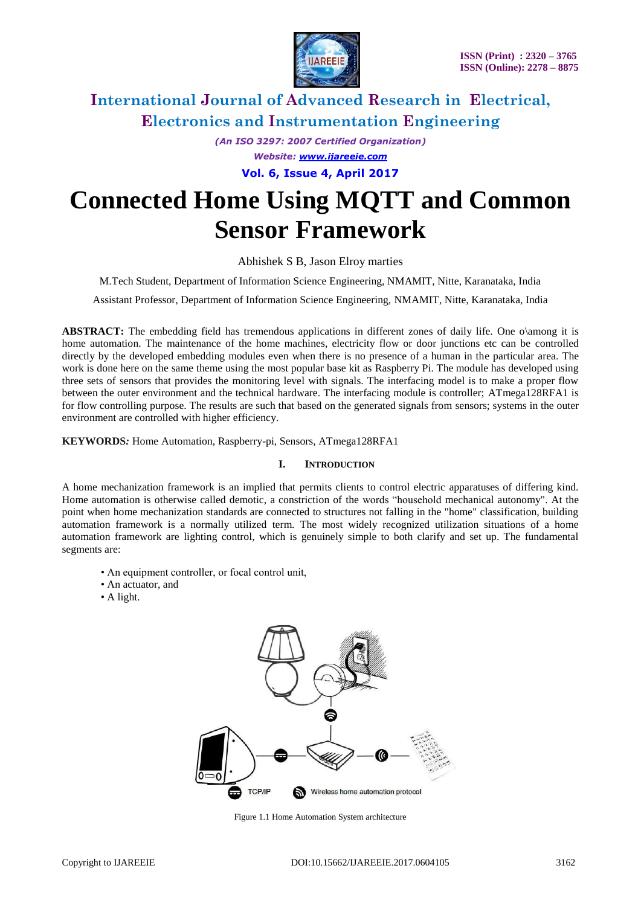

*(An ISO 3297: 2007 Certified Organization) Website: [www.ijareeie.com](http://www.ijareeie.com/)* **Vol. 6, Issue 4, April 2017**

# **Connected Home Using MQTT and Common Sensor Framework**

Abhishek S B, Jason Elroy marties

M.Tech Student, Department of Information Science Engineering, NMAMIT, Nitte, Karanataka, India

Assistant Professor, Department of Information Science Engineering, NMAMIT, Nitte, Karanataka, India

**ABSTRACT:** The embedding field has tremendous applications in different zones of daily life. One o\among it is home automation. The maintenance of the home machines, electricity flow or door junctions etc can be controlled directly by the developed embedding modules even when there is no presence of a human in the particular area. The work is done here on the same theme using the most popular base kit as Raspberry Pi. The module has developed using three sets of sensors that provides the monitoring level with signals. The interfacing model is to make a proper flow between the outer environment and the technical hardware. The interfacing module is controller; ATmega128RFA1 is for flow controlling purpose. The results are such that based on the generated signals from sensors; systems in the outer environment are controlled with higher efficiency.

**KEYWORDS***:* Home Automation, Raspberry-pi, Sensors, ATmega128RFA1

### **I. INTRODUCTION**

A home mechanization framework is an implied that permits clients to control electric apparatuses of differing kind. Home automation is otherwise called demotic, a constriction of the words "household mechanical autonomy". At the point when home mechanization standards are connected to structures not falling in the "home" classification, building automation framework is a normally utilized term. The most widely recognized utilization situations of a home automation framework are lighting control, which is genuinely simple to both clarify and set up. The fundamental segments are:

- An equipment controller, or focal control unit,
- An actuator, and
- A light.



Figure 1.1 Home Automation System architecture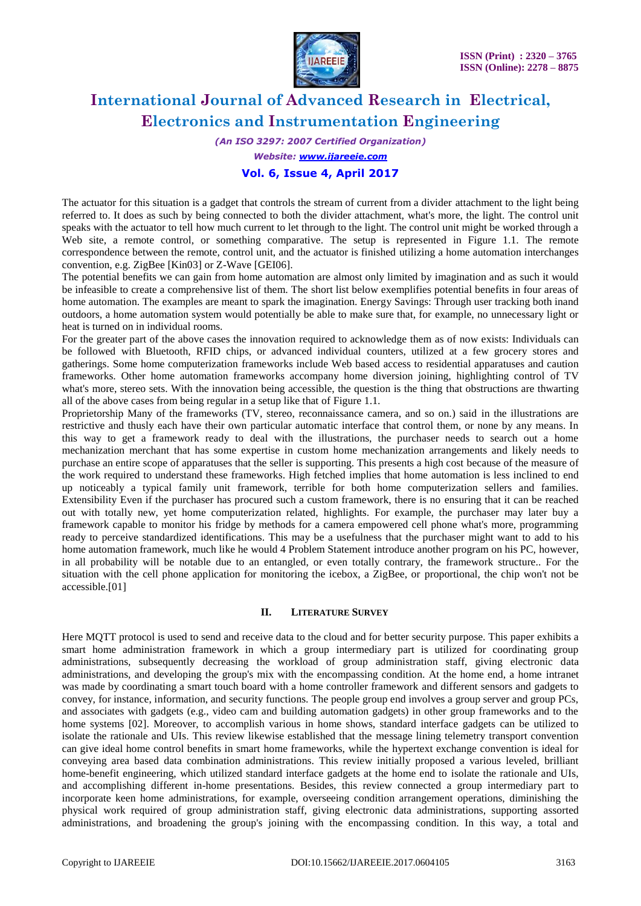

*(An ISO 3297: 2007 Certified Organization)*

*Website: [www.ijareeie.com](http://www.ijareeie.com/)*

# **Vol. 6, Issue 4, April 2017**

The actuator for this situation is a gadget that controls the stream of current from a divider attachment to the light being referred to. It does as such by being connected to both the divider attachment, what's more, the light. The control unit speaks with the actuator to tell how much current to let through to the light. The control unit might be worked through a Web site, a remote control, or something comparative. The setup is represented in Figure 1.1. The remote correspondence between the remote, control unit, and the actuator is finished utilizing a home automation interchanges convention, e.g. ZigBee [Kin03] or Z-Wave [GEI06].

The potential benefits we can gain from home automation are almost only limited by imagination and as such it would be infeasible to create a comprehensive list of them. The short list below exemplifies potential benefits in four areas of home automation. The examples are meant to spark the imagination. Energy Savings: Through user tracking both inand outdoors, a home automation system would potentially be able to make sure that, for example, no unnecessary light or heat is turned on in individual rooms.

For the greater part of the above cases the innovation required to acknowledge them as of now exists: Individuals can be followed with Bluetooth, RFID chips, or advanced individual counters, utilized at a few grocery stores and gatherings. Some home computerization frameworks include Web based access to residential apparatuses and caution frameworks. Other home automation frameworks accompany home diversion joining, highlighting control of TV what's more, stereo sets. With the innovation being accessible, the question is the thing that obstructions are thwarting all of the above cases from being regular in a setup like that of Figure 1.1.

Proprietorship Many of the frameworks (TV, stereo, reconnaissance camera, and so on.) said in the illustrations are restrictive and thusly each have their own particular automatic interface that control them, or none by any means. In this way to get a framework ready to deal with the illustrations, the purchaser needs to search out a home mechanization merchant that has some expertise in custom home mechanization arrangements and likely needs to purchase an entire scope of apparatuses that the seller is supporting. This presents a high cost because of the measure of the work required to understand these frameworks. High fetched implies that home automation is less inclined to end up noticeably a typical family unit framework, terrible for both home computerization sellers and families. Extensibility Even if the purchaser has procured such a custom framework, there is no ensuring that it can be reached out with totally new, yet home computerization related, highlights. For example, the purchaser may later buy a framework capable to monitor his fridge by methods for a camera empowered cell phone what's more, programming ready to perceive standardized identifications. This may be a usefulness that the purchaser might want to add to his home automation framework, much like he would 4 Problem Statement introduce another program on his PC, however, in all probability will be notable due to an entangled, or even totally contrary, the framework structure.. For the situation with the cell phone application for monitoring the icebox, a ZigBee, or proportional, the chip won't not be accessible.[01]

### **II. LITERATURE SURVEY**

Here MQTT protocol is used to send and receive data to the cloud and for better security purpose. This paper exhibits a smart home administration framework in which a group intermediary part is utilized for coordinating group administrations, subsequently decreasing the workload of group administration staff, giving electronic data administrations, and developing the group's mix with the encompassing condition. At the home end, a home intranet was made by coordinating a smart touch board with a home controller framework and different sensors and gadgets to convey, for instance, information, and security functions. The people group end involves a group server and group PCs, and associates with gadgets (e.g., video cam and building automation gadgets) in other group frameworks and to the home systems [02]. Moreover, to accomplish various in home shows, standard interface gadgets can be utilized to isolate the rationale and UIs. This review likewise established that the message lining telemetry transport convention can give ideal home control benefits in smart home frameworks, while the hypertext exchange convention is ideal for conveying area based data combination administrations. This review initially proposed a various leveled, brilliant home-benefit engineering, which utilized standard interface gadgets at the home end to isolate the rationale and UIs, and accomplishing different in-home presentations. Besides, this review connected a group intermediary part to incorporate keen home administrations, for example, overseeing condition arrangement operations, diminishing the physical work required of group administration staff, giving electronic data administrations, supporting assorted administrations, and broadening the group's joining with the encompassing condition. In this way, a total and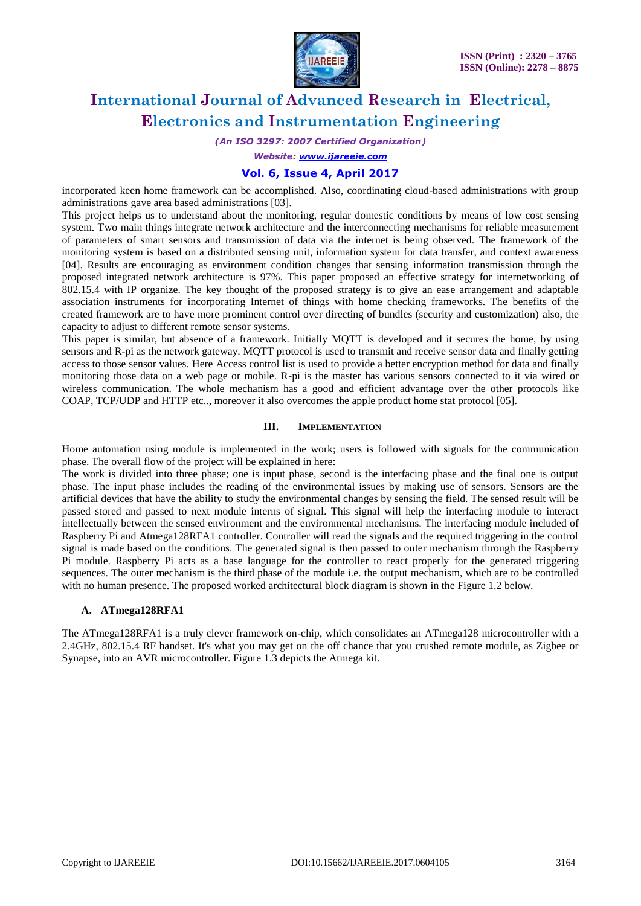

*(An ISO 3297: 2007 Certified Organization)*

*Website: [www.ijareeie.com](http://www.ijareeie.com/)*

# **Vol. 6, Issue 4, April 2017**

incorporated keen home framework can be accomplished. Also, coordinating cloud-based administrations with group administrations gave area based administrations [03].

This project helps us to understand about the monitoring, regular domestic conditions by means of low cost sensing system. Two main things integrate network architecture and the interconnecting mechanisms for reliable measurement of parameters of smart sensors and transmission of data via the internet is being observed. The framework of the monitoring system is based on a distributed sensing unit, information system for data transfer, and context awareness [04]. Results are encouraging as environment condition changes that sensing information transmission through the proposed integrated network architecture is 97%. This paper proposed an effective strategy for internetworking of 802.15.4 with IP organize. The key thought of the proposed strategy is to give an ease arrangement and adaptable association instruments for incorporating Internet of things with home checking frameworks. The benefits of the created framework are to have more prominent control over directing of bundles (security and customization) also, the capacity to adjust to different remote sensor systems.

This paper is similar, but absence of a framework. Initially MQTT is developed and it secures the home, by using sensors and R-pi as the network gateway. MQTT protocol is used to transmit and receive sensor data and finally getting access to those sensor values. Here Access control list is used to provide a better encryption method for data and finally monitoring those data on a web page or mobile. R-pi is the master has various sensors connected to it via wired or wireless communication. The whole mechanism has a good and efficient advantage over the other protocols like COAP, TCP/UDP and HTTP etc.., moreover it also overcomes the apple product home stat protocol [05].

### **III. IMPLEMENTATION**

Home automation using module is implemented in the work; users is followed with signals for the communication phase. The overall flow of the project will be explained in here:

The work is divided into three phase; one is input phase, second is the interfacing phase and the final one is output phase. The input phase includes the reading of the environmental issues by making use of sensors. Sensors are the artificial devices that have the ability to study the environmental changes by sensing the field. The sensed result will be passed stored and passed to next module interns of signal. This signal will help the interfacing module to interact intellectually between the sensed environment and the environmental mechanisms. The interfacing module included of Raspberry Pi and Atmega128RFA1 controller. Controller will read the signals and the required triggering in the control signal is made based on the conditions. The generated signal is then passed to outer mechanism through the Raspberry Pi module. Raspberry Pi acts as a base language for the controller to react properly for the generated triggering sequences. The outer mechanism is the third phase of the module i.e. the output mechanism, which are to be controlled with no human presence. The proposed worked architectural block diagram is shown in the Figure 1.2 below.

#### **A. ATmega128RFA1**

The ATmega128RFA1 is a truly clever framework on-chip, which consolidates an ATmega128 microcontroller with a 2.4GHz, 802.15.4 RF handset. It's what you may get on the off chance that you crushed remote module, as Zigbee or Synapse, into an AVR microcontroller. Figure 1.3 depicts the Atmega kit.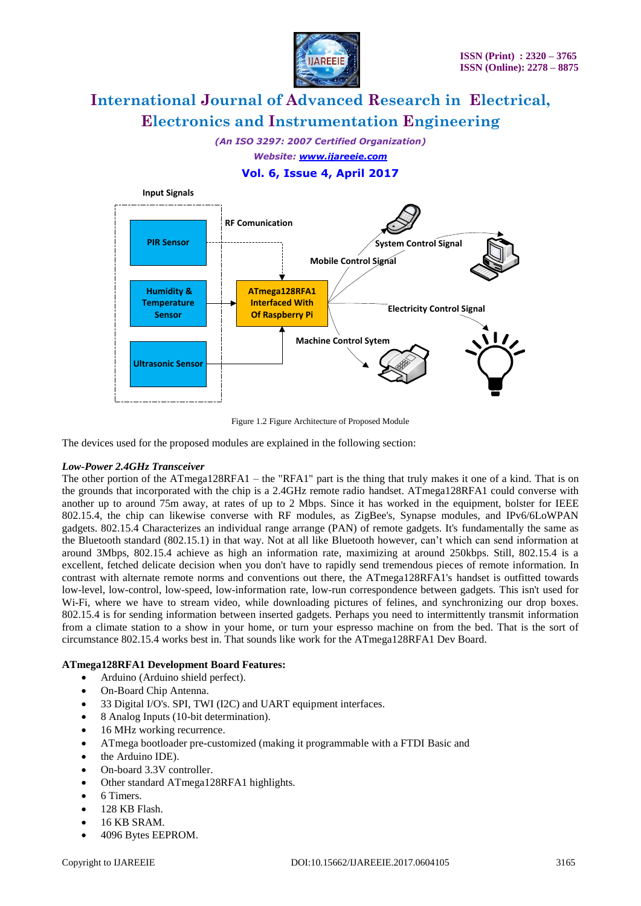

*(An ISO 3297: 2007 Certified Organization) Website: [www.ijareeie.com](http://www.ijareeie.com/)*

# **Vol. 6, Issue 4, April 2017**



Figure 1.2 Figure Architecture of Proposed Module

The devices used for the proposed modules are explained in the following section:

### *Low-Power 2.4GHz Transceiver*

The other portion of the ATmega128RFA1 – the "RFA1" part is the thing that truly makes it one of a kind. That is on the grounds that incorporated with the chip is a 2.4GHz remote radio handset. ATmega128RFA1 could converse with another up to around 75m away, at rates of up to 2 Mbps. Since it has worked in the equipment, bolster for IEEE 802.15.4, the chip can likewise converse with RF modules, as ZigBee's, Synapse modules, and IPv6/6LoWPAN gadgets. 802.15.4 Characterizes an individual range arrange (PAN) of remote gadgets. It's fundamentally the same as the Bluetooth standard (802.15.1) in that way. Not at all like Bluetooth however, can't which can send information at around 3Mbps, 802.15.4 achieve as high an information rate, maximizing at around 250kbps. Still, 802.15.4 is a excellent, fetched delicate decision when you don't have to rapidly send tremendous pieces of remote information. In contrast with alternate remote norms and conventions out there, the ATmega128RFA1's handset is outfitted towards low-level, low-control, low-speed, low-information rate, low-run correspondence between gadgets. This isn't used for Wi-Fi, where we have to stream video, while downloading pictures of felines, and synchronizing our drop boxes. 802.15.4 is for sending information between inserted gadgets. Perhaps you need to intermittently transmit information from a climate station to a show in your home, or turn your espresso machine on from the bed. That is the sort of circumstance 802.15.4 works best in. That sounds like work for the ATmega128RFA1 Dev Board.

# **ATmega128RFA1 Development Board Features:**

- Arduino (Arduino shield perfect).
- On-Board Chip Antenna.
- 33 Digital I/O's. SPI, TWI (I2C) and UART equipment interfaces.
- 8 Analog Inputs (10-bit determination).
- 16 MHz working recurrence.
- ATmega bootloader pre-customized (making it programmable with a FTDI Basic and
- the Arduino IDE).
- On-board 3.3V controller.
- Other standard ATmega128RFA1 highlights.
- 6 Timers.
- 128 KB Flash.
- 16 KB SRAM.
- 4096 Bytes EEPROM.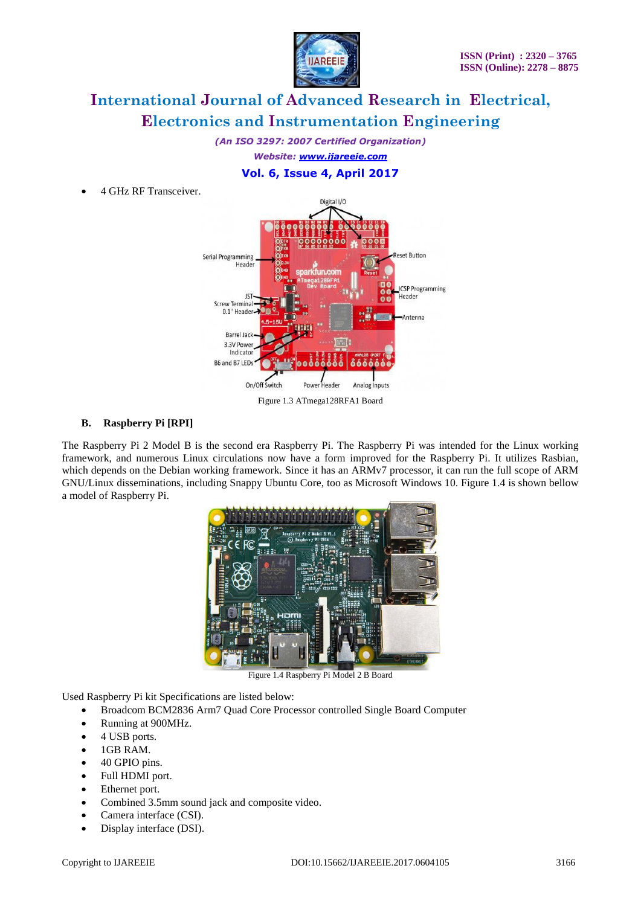

*(An ISO 3297: 2007 Certified Organization) Website: [www.ijareeie.com](http://www.ijareeie.com/)*

# **Vol. 6, Issue 4, April 2017**

4 GHz RF Transceiver.



# **B. Raspberry Pi [RPI]**

The Raspberry Pi 2 Model B is the second era Raspberry Pi. The Raspberry Pi was intended for the Linux working framework, and numerous Linux circulations now have a form improved for the Raspberry Pi. It utilizes Rasbian, which depends on the Debian working framework. Since it has an ARMv7 processor, it can run the full scope of ARM GNU/Linux disseminations, including Snappy Ubuntu Core, too as Microsoft Windows 10. Figure 1.4 is shown bellow a model of Raspberry Pi.



Figure 1.4 Raspberry Pi Model 2 B Board

Used Raspberry Pi kit Specifications are listed below:

- Broadcom BCM2836 Arm7 Quad Core Processor controlled Single Board Computer
- Running at 900MHz.
- 4 USB ports.
- $-1$ GB RAM.
- 40 GPIO pins.
- Full HDMI port.
- Ethernet port.
- Combined 3.5mm sound jack and composite video.
- Camera interface (CSI).
- Display interface (DSI).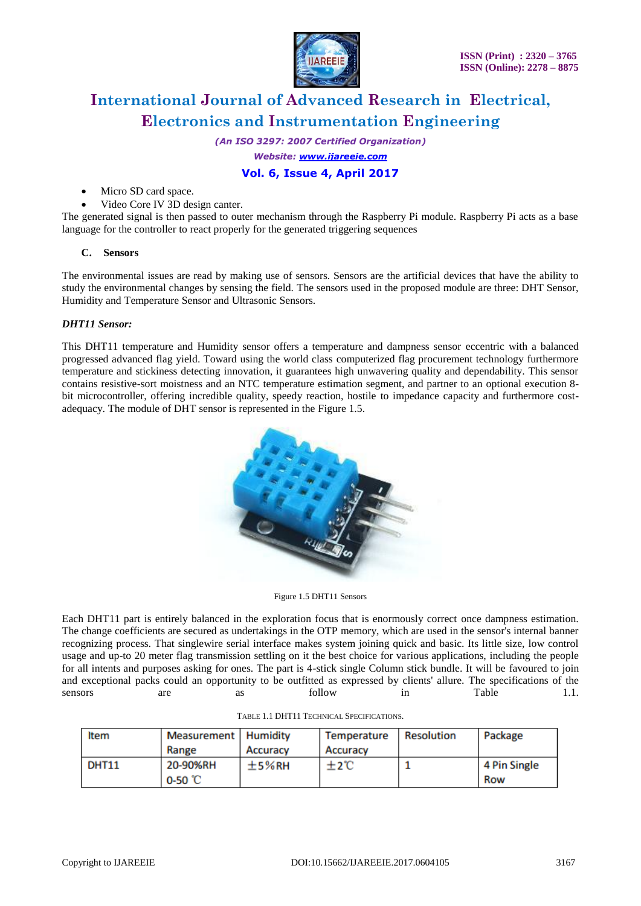

*(An ISO 3297: 2007 Certified Organization)*

*Website: [www.ijareeie.com](http://www.ijareeie.com/)*

# **Vol. 6, Issue 4, April 2017**

- Micro SD card space.
- Video Core IV 3D design canter.

The generated signal is then passed to outer mechanism through the Raspberry Pi module. Raspberry Pi acts as a base language for the controller to react properly for the generated triggering sequences

# **C. Sensors**

The environmental issues are read by making use of sensors. Sensors are the artificial devices that have the ability to study the environmental changes by sensing the field. The sensors used in the proposed module are three: DHT Sensor, Humidity and Temperature Sensor and Ultrasonic Sensors.

# *DHT11 Sensor:*

This DHT11 temperature and Humidity sensor offers a temperature and dampness sensor eccentric with a balanced progressed advanced flag yield. Toward using the world class computerized flag procurement technology furthermore temperature and stickiness detecting innovation, it guarantees high unwavering quality and dependability. This sensor contains resistive-sort moistness and an NTC temperature estimation segment, and partner to an optional execution 8 bit microcontroller, offering incredible quality, speedy reaction, hostile to impedance capacity and furthermore costadequacy. The module of DHT sensor is represented in the Figure 1.5.



Figure 1.5 DHT11 Sensors

Each DHT11 part is entirely balanced in the exploration focus that is enormously correct once dampness estimation. The change coefficients are secured as undertakings in the OTP memory, which are used in the sensor's internal banner recognizing process. That singlewire serial interface makes system joining quick and basic. Its little size, low control usage and up-to 20 meter flag transmission settling on it the best choice for various applications, including the people for all intents and purposes asking for ones. The part is 4-stick single Column stick bundle. It will be favoured to join and exceptional packs could an opportunity to be outfitted as expressed by clients' allure. The specifications of the sensors are as follow in Table 1.1.

| <b>Item</b>  | Measurement   Humidity |          | Temperature | Resolution | Package      |
|--------------|------------------------|----------|-------------|------------|--------------|
|              | Range                  | Accuracy | Accuracy    |            |              |
| <b>DHT11</b> | 20-90%RH               | $±5%$ RH | ±2℃         |            | 4 Pin Single |
|              | 0-50 °C                |          |             |            | Row          |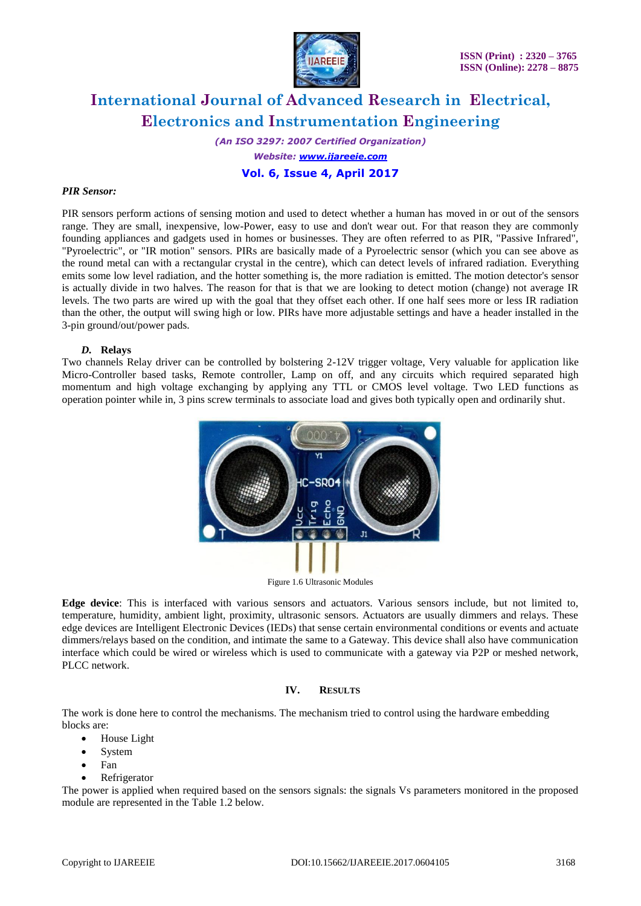

*(An ISO 3297: 2007 Certified Organization) Website: [www.ijareeie.com](http://www.ijareeie.com/)* **Vol. 6, Issue 4, April 2017**

#### *PIR Sensor:*

PIR sensors perform actions of sensing motion and used to detect whether a human has moved in or out of the sensors range. They are small, inexpensive, low-Power, easy to use and don't wear out. For that reason they are commonly founding appliances and gadgets used in homes or businesses. They are often referred to as PIR, "Passive Infrared", "Pyroelectric", or "IR motion" sensors. PIRs are basically made of a Pyroelectric sensor (which you can see above as the round metal can with a rectangular crystal in the centre), which can detect levels of infrared radiation. Everything emits some low level radiation, and the hotter something is, the more radiation is emitted. The motion detector's sensor is actually divide in two halves. The reason for that is that we are looking to detect motion (change) not average IR levels. The two parts are wired up with the goal that they offset each other. If one half sees more or less IR radiation than the other, the output will swing high or low. PIRs have more adjustable settings and have a header installed in the 3-pin ground/out/power pads.

### *D.* **Relays**

Two channels Relay driver can be controlled by bolstering 2-12V trigger voltage, Very valuable for application like Micro-Controller based tasks, Remote controller, Lamp on off, and any circuits which required separated high momentum and high voltage exchanging by applying any TTL or CMOS level voltage. Two LED functions as operation pointer while in, 3 pins screw terminals to associate load and gives both typically open and ordinarily shut.



Figure 1.6 Ultrasonic Modules

**Edge device**: This is interfaced with various sensors and actuators. Various sensors include, but not limited to, temperature, humidity, ambient light, proximity, ultrasonic sensors. Actuators are usually dimmers and relays. These edge devices are Intelligent Electronic Devices (IEDs) that sense certain environmental conditions or events and actuate dimmers/relays based on the condition, and intimate the same to a Gateway. This device shall also have communication interface which could be wired or wireless which is used to communicate with a gateway via P2P or meshed network, PLCC network.

### **IV. RESULTS**

The work is done here to control the mechanisms. The mechanism tried to control using the hardware embedding blocks are:

- House Light
- System
- Fan
- Refrigerator

The power is applied when required based on the sensors signals: the signals Vs parameters monitored in the proposed module are represented in the Table 1.2 below.